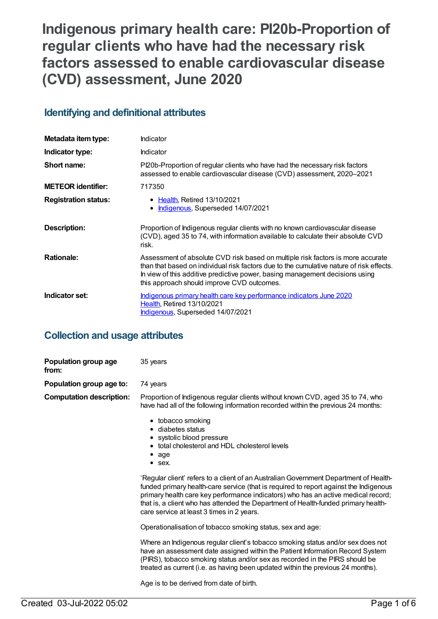# **Indigenous primary health care: PI20b-Proportion of regular clients who have had the necessary risk factors assessed to enable cardiovascular disease (CVD) assessment, June 2020**

## **Identifying and definitional attributes**

| Metadata item type:         | Indicator                                                                                                                                                                                                                                                                                                 |
|-----------------------------|-----------------------------------------------------------------------------------------------------------------------------------------------------------------------------------------------------------------------------------------------------------------------------------------------------------|
| Indicator type:             | <b>Indicator</b>                                                                                                                                                                                                                                                                                          |
| Short name:                 | Pl20b-Proportion of regular clients who have had the necessary risk factors<br>assessed to enable cardiovascular disease (CVD) assessment, 2020-2021                                                                                                                                                      |
| <b>METEOR identifier:</b>   | 717350                                                                                                                                                                                                                                                                                                    |
| <b>Registration status:</b> | • Health, Retired 13/10/2021<br>Indigenous, Superseded 14/07/2021<br>$\bullet$                                                                                                                                                                                                                            |
| Description:                | Proportion of Indigenous regular clients with no known cardiovascular disease<br>(CVD), aged 35 to 74, with information available to calculate their absolute CVD<br>risk.                                                                                                                                |
| <b>Rationale:</b>           | Assessment of absolute CVD risk based on multiple risk factors is more accurate<br>than that based on individual risk factors due to the cumulative nature of risk effects.<br>In view of this additive predictive power, basing management decisions using<br>this approach should improve CVD outcomes. |
| Indicator set:              | Indigenous primary health care key performance indicators June 2020<br><b>Health, Retired 13/10/2021</b><br><b>Indigenous, Superseded 14/07/2021</b>                                                                                                                                                      |

## **Collection and usage attributes**

| Population group age<br>from:   | 35 years                                                                                                                                                                                                                                                                                                                                                                                               |
|---------------------------------|--------------------------------------------------------------------------------------------------------------------------------------------------------------------------------------------------------------------------------------------------------------------------------------------------------------------------------------------------------------------------------------------------------|
| Population group age to:        | 74 years                                                                                                                                                                                                                                                                                                                                                                                               |
| <b>Computation description:</b> | Proportion of Indigenous regular clients without known CVD, aged 35 to 74, who<br>have had all of the following information recorded within the previous 24 months:                                                                                                                                                                                                                                    |
|                                 | • tobacco smoking<br>• diabetes status<br>• systolic blood pressure<br>• total cholesterol and HDL cholesterol levels<br>$\bullet$ age<br>$\bullet$ sex.                                                                                                                                                                                                                                               |
|                                 | 'Regular client' refers to a client of an Australian Government Department of Health-<br>funded primary health-care service (that is required to report against the Indigenous<br>primary health care key performance indicators) who has an active medical record;<br>that is, a client who has attended the Department of Health-funded primary health-<br>care service at least 3 times in 2 years. |
|                                 | Operationalisation of tobacco smoking status, sex and age:                                                                                                                                                                                                                                                                                                                                             |
|                                 | Where an Indigenous regular client's tobacco smoking status and/or sex does not<br>have an assessment date assigned within the Patient Information Record System<br>(PIRS), tobacco smoking status and/or sex as recorded in the PIRS should be<br>treated as current (i.e. as having been updated within the previous 24 months).                                                                     |
|                                 | Age is to be derived from date of birth.                                                                                                                                                                                                                                                                                                                                                               |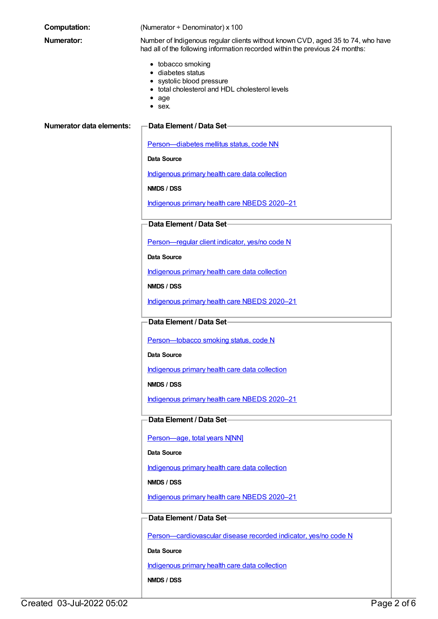| <b>Computation:</b>             | (Numerator + Denominator) x 100                                                                                                                                 |
|---------------------------------|-----------------------------------------------------------------------------------------------------------------------------------------------------------------|
| <b>Numerator:</b>               | Number of Indigenous regular clients without known CVD, aged 35 to 74, who have<br>had all of the following information recorded within the previous 24 months: |
|                                 | • tobacco smoking<br>• diabetes status<br>• systolic blood pressure<br>• total cholesterol and HDL cholesterol levels<br>age<br>$\bullet$ sex.                  |
| <b>Numerator data elements:</b> | Data Element / Data Set-                                                                                                                                        |
|                                 | Person-diabetes mellitus status, code NN                                                                                                                        |
|                                 | <b>Data Source</b>                                                                                                                                              |
|                                 | Indigenous primary health care data collection                                                                                                                  |
|                                 | NMDS / DSS                                                                                                                                                      |
|                                 | Indigenous primary health care NBEDS 2020-21                                                                                                                    |
|                                 | Data Element / Data Set-                                                                                                                                        |
|                                 | Person-regular client indicator, yes/no code N                                                                                                                  |
|                                 | <b>Data Source</b>                                                                                                                                              |
|                                 | Indigenous primary health care data collection                                                                                                                  |
|                                 | NMDS / DSS                                                                                                                                                      |
|                                 | Indigenous primary health care NBEDS 2020-21                                                                                                                    |
|                                 | Data Element / Data Set-                                                                                                                                        |
|                                 | Person-tobacco smoking status, code N                                                                                                                           |
|                                 | Data Source                                                                                                                                                     |
|                                 | Indigenous primary health care data collection                                                                                                                  |
|                                 | NMDS / DSS                                                                                                                                                      |
|                                 | Indigenous primary health care NBEDS 2020-21                                                                                                                    |
|                                 | Data Element / Data Set-                                                                                                                                        |
|                                 | Person-age, total years N[NN]                                                                                                                                   |
|                                 | Data Source                                                                                                                                                     |
|                                 | Indigenous primary health care data collection                                                                                                                  |
|                                 | NMDS / DSS                                                                                                                                                      |
|                                 | Indigenous primary health care NBEDS 2020-21                                                                                                                    |
|                                 | Data Element / Data Set-                                                                                                                                        |
|                                 | Person-cardiovascular disease recorded indicator, yes/no code N                                                                                                 |
|                                 | Data Source                                                                                                                                                     |
|                                 | Indigenous primary health care data collection                                                                                                                  |
|                                 | NMDS / DSS                                                                                                                                                      |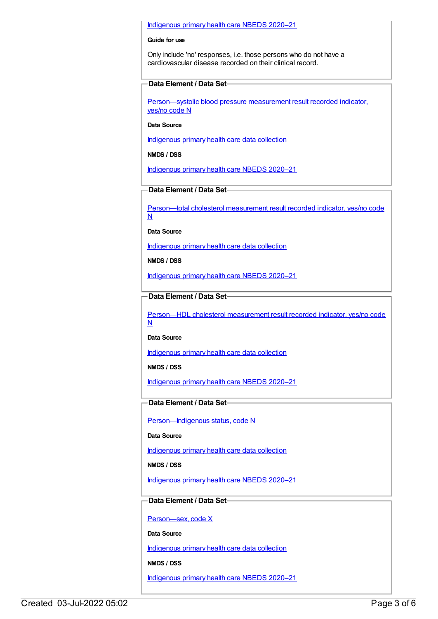#### [Indigenous](https://meteor.aihw.gov.au/content/715320) primary health care NBEDS 2020–21

#### **Guide for use**

Only include 'no' responses, i.e. those persons who do not have a cardiovascular disease recorded on their clinical record.

#### **Data Element / Data Set**

[Person—systolic](https://meteor.aihw.gov.au/content/588766) blood pressure measurement result recorded indicator, yes/no code N

#### **Data Source**

[Indigenous](https://meteor.aihw.gov.au/content/430643) primary health care data collection

#### **NMDS / DSS**

[Indigenous](https://meteor.aihw.gov.au/content/715320) primary health care NBEDS 2020–21

## **Data Element / Data Set**

[Person—total](https://meteor.aihw.gov.au/content/588774) cholesterol measurement result recorded indicator, yes/no code N

**Data Source**

[Indigenous](https://meteor.aihw.gov.au/content/430643) primary health care data collection

**NMDS / DSS**

[Indigenous](https://meteor.aihw.gov.au/content/715320) primary health care NBEDS 2020–21

### **Data Element / Data Set**

[Person—HDL](https://meteor.aihw.gov.au/content/594647) cholesterol measurement result recorded indicator, yes/no code N

**Data Source**

[Indigenous](https://meteor.aihw.gov.au/content/430643) primary health care data collection

**NMDS / DSS**

[Indigenous](https://meteor.aihw.gov.au/content/715320) primary health care NBEDS 2020–21

## **Data Element / Data Set**

Person-Indigenous status, code N

**Data Source**

[Indigenous](https://meteor.aihw.gov.au/content/430643) primary health care data collection

**NMDS / DSS**

[Indigenous](https://meteor.aihw.gov.au/content/715320) primary health care NBEDS 2020–21

## **Data Element / Data Set**

[Person—sex,](https://meteor.aihw.gov.au/content/635126) code X

**Data Source**

[Indigenous](https://meteor.aihw.gov.au/content/430643) primary health care data collection

**NMDS / DSS**

[Indigenous](https://meteor.aihw.gov.au/content/715320) primary health care NBEDS 2020–21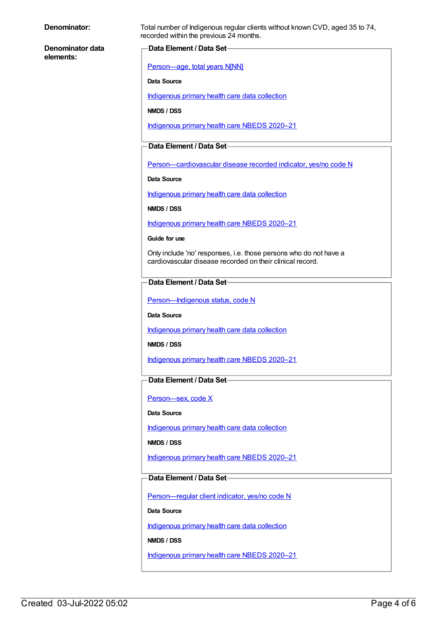| Denominator: |
|--------------|
|--------------|

**Denominator data elements:**

Total number of Indigenous regular clients without known CVD, aged 35 to 74, recorded within the previous 24 months.

### **Data Element / Data Set**

[Person—age,](https://meteor.aihw.gov.au/content/303794) total years N[NN]

#### **Data Source**

[Indigenous](https://meteor.aihw.gov.au/content/430643) primary health care data collection

**NMDS / DSS**

[Indigenous](https://meteor.aihw.gov.au/content/715320) primary health care NBEDS 2020–21

#### **Data Element / Data Set**

[Person—cardiovascular](https://meteor.aihw.gov.au/content/465948) disease recorded indicator, yes/no code N

**Data Source**

[Indigenous](https://meteor.aihw.gov.au/content/430643) primary health care data collection

**NMDS / DSS**

[Indigenous](https://meteor.aihw.gov.au/content/715320) primary health care NBEDS 2020–21

#### **Guide for use**

Only include 'no' responses, i.e. those persons who do not have a cardiovascular disease recorded on their clinical record.

## **Data Element / Data Set**

Person-Indigenous status, code N

**Data Source**

[Indigenous](https://meteor.aihw.gov.au/content/430643) primary health care data collection

**NMDS / DSS**

[Indigenous](https://meteor.aihw.gov.au/content/715320) primary health care NBEDS 2020–21

## **Data Element / Data Set**

Person-sex, code X

#### **Data Source**

[Indigenous](https://meteor.aihw.gov.au/content/430643) primary health care data collection

**NMDS / DSS**

[Indigenous](https://meteor.aihw.gov.au/content/715320) primary health care NBEDS 2020–21

## **Data Element / Data Set**

[Person—regular](https://meteor.aihw.gov.au/content/686291) client indicator, yes/no code N

**Data Source**

[Indigenous](https://meteor.aihw.gov.au/content/430643) primary health care data collection

**NMDS / DSS**

[Indigenous](https://meteor.aihw.gov.au/content/715320) primary health care NBEDS 2020–21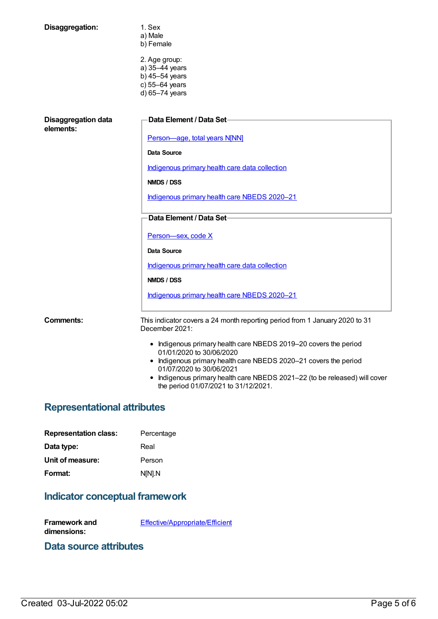| Disaggregation:                         | 1. Sex<br>a) Male<br>b) Female                                                                                                                                   |
|-----------------------------------------|------------------------------------------------------------------------------------------------------------------------------------------------------------------|
|                                         | 2. Age group:<br>a) 35-44 years<br>b) $45-54$ years<br>c) 55-64 years                                                                                            |
|                                         | d) 65-74 years                                                                                                                                                   |
| <b>Disaggregation data</b><br>elements: | <b>Data Element / Data Set-</b>                                                                                                                                  |
|                                         | Person-age, total years N[NN]                                                                                                                                    |
|                                         | Data Source                                                                                                                                                      |
|                                         | Indigenous primary health care data collection                                                                                                                   |
|                                         | NMDS / DSS                                                                                                                                                       |
|                                         | Indigenous primary health care NBEDS 2020-21                                                                                                                     |
|                                         | Data Element / Data Set-                                                                                                                                         |
|                                         | Person-sex, code X                                                                                                                                               |
|                                         | <b>Data Source</b>                                                                                                                                               |
|                                         | Indigenous primary health care data collection                                                                                                                   |
|                                         | NMDS / DSS                                                                                                                                                       |
|                                         | Indigenous primary health care NBEDS 2020-21                                                                                                                     |
| Comments:                               | This indicator covers a 24 month reporting period from 1 January 2020 to 31<br>December 2021:                                                                    |
|                                         | • Indigenous primary health care NBEDS 2019-20 covers the period<br>01/01/2020 to 30/06/2020<br>• Indigenous primary health care NBEDS 2020-21 covers the period |
|                                         | 01/07/2020 to 30/06/2021<br>boligaceus primoruboalth care NDEDS 2021 22 (to be relegged) will cover                                                              |

Indigenous primary health care NBEDS 2021–22 (to be released) will cover the period 01/07/2021 to 31/12/2021.

## **Representational attributes**

| Percentage |
|------------|
| Real       |
| Person     |
| N[N].N     |
|            |

## **Indicator conceptual framework**

**Framework and dimensions:**

[Effective/Appropriate/Efficient](https://meteor.aihw.gov.au/content/410681)

## **Data source attributes**